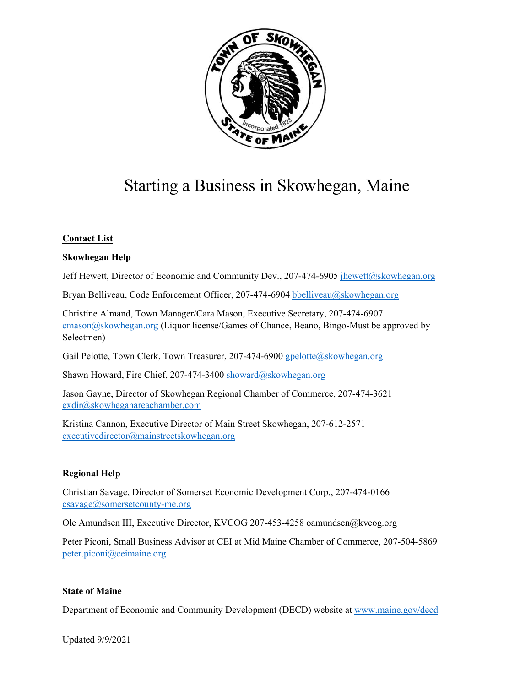

# Starting a Business in Skowhegan, Maine

#### **Contact List**

#### **Skowhegan Help**

Jeff Hewett, Director of Economic and Community Dev., 207-474-6905 jhewett@skowhegan.org

Bryan Belliveau, Code Enforcement Officer, 207-474-6904 bbelliveau@skowhegan.org

Christine Almand, Town Manager/Cara Mason, Executive Secretary, 207-474-6907 cmason@skowhegan.org (Liquor license/Games of Chance, Beano, Bingo-Must be approved by Selectmen)

Gail Pelotte, Town Clerk, Town Treasurer, 207-474-6900 gpelotte@skowhegan.org

Shawn Howard, Fire Chief, 207-474-3400 showard@skowhegan.org

Jason Gayne, Director of Skowhegan Regional Chamber of Commerce, 207-474-3621 exdir@skowheganareachamber.com

Kristina Cannon, Executive Director of Main Street Skowhegan, 207-612-2571 executivedirector@mainstreetskowhegan.org

#### **Regional Help**

Christian Savage, Director of Somerset Economic Development Corp., 207-474-0166  $csavage@somersetcounty-me.org$ 

Ole Amundsen III, Executive Director, KVCOG 207-453-4258 oamundsen@kvcog.org

Peter Piconi, Small Business Advisor at CEI at Mid Maine Chamber of Commerce, 207-504-5869 peter.piconi@ceimaine.org

#### **State of Maine**

Department of Economic and Community Development (DECD) website at www.maine.gov/decd

Updated 9/9/2021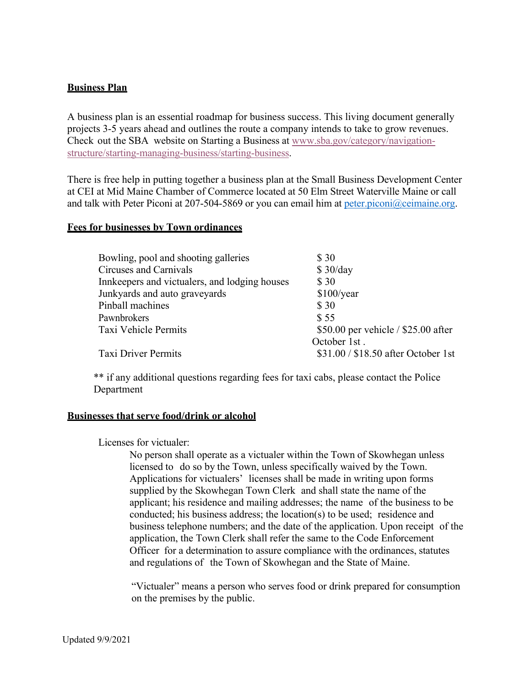## **Business Plan**

A business plan is an essential roadmap for business success. This living document generally projects 3-5 years ahead and outlines the route a company intends to take to grow revenues. Check out the SBA website on Starting a Business at www.sba.gov/category/navigationstructure/starting-managing-business/starting-business.

There is free help in putting together a business plan at the Small Business Development Center at CEI at Mid Maine Chamber of Commerce located at 50 Elm Street Waterville Maine or call and talk with Peter Piconi at 207-504-5869 or you can email him at peter.piconi $\omega$ ceimaine.org.

## **Fees for businesses by Town ordinances**

| Bowling, pool and shooting galleries          | \$ 30                                 |
|-----------------------------------------------|---------------------------------------|
| Circuses and Carnivals                        | \$30/day                              |
| Innkeepers and victualers, and lodging houses | \$30                                  |
| Junkyards and auto graveyards                 | \$100/year                            |
| Pinball machines                              | \$30                                  |
| Pawnbrokers                                   | \$55                                  |
| Taxi Vehicle Permits                          | \$50.00 per vehicle $/$ \$25.00 after |
|                                               | October 1st.                          |
| <b>Taxi Driver Permits</b>                    | \$31.00 / \$18.50 after October 1st   |
|                                               |                                       |

\*\* if any additional questions regarding fees for taxi cabs, please contact the Police Department

#### **Businesses that serve food/drink or alcohol**

#### Licenses for victualer:

No person shall operate as a victualer within the Town of Skowhegan unless licensed to do so by the Town, unless specifically waived by the Town. Applications for victualers' licenses shall be made in writing upon forms supplied by the Skowhegan Town Clerk and shall state the name of the applicant; his residence and mailing addresses; the name of the business to be conducted; his business address; the location(s) to be used; residence and business telephone numbers; and the date of the application. Upon receipt of the application, the Town Clerk shall refer the same to the Code Enforcement Officer for a determination to assure compliance with the ordinances, statutes and regulations of the Town of Skowhegan and the State of Maine.

"Victualer" means a person who serves food or drink prepared for consumption on the premises by the public.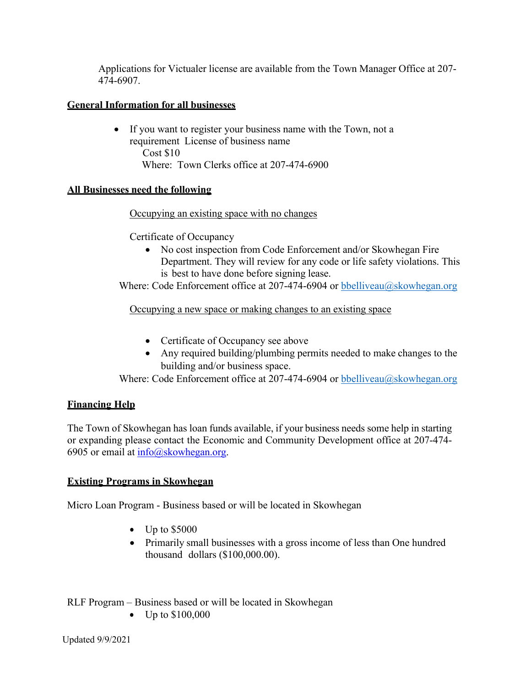Applications for Victualer license are available from the Town Manager Office at 207- 474-6907.

# **General Information for all businesses**

 If you want to register your business name with the Town, not a requirement License of business name Cost \$10 Where: Town Clerks office at 207-474-6900

# **All Businesses need the following**

# Occupying an existing space with no changes

Certificate of Occupancy

• No cost inspection from Code Enforcement and/or Skowhegan Fire Department. They will review for any code or life safety violations. This is best to have done before signing lease.

Where: Code Enforcement office at 207-474-6904 or bbelliveau $\omega$ skowhegan.org

Occupying a new space or making changes to an existing space

- Certificate of Occupancy see above
- Any required building/plumbing permits needed to make changes to the building and/or business space.

Where: Code Enforcement office at 207-474-6904 or bbelliveau@skowhegan.org

# **Financing Help**

The Town of Skowhegan has loan funds available, if your business needs some help in starting or expanding please contact the Economic and Community Development office at 207-474- 6905 or email at  $\frac{\text{info}(a)$ skowhegan.org.

# **Existing Programs in Skowhegan**

Micro Loan Program - Business based or will be located in Skowhegan

- $\bullet$  Up to \$5000
- Primarily small businesses with a gross income of less than One hundred thousand dollars (\$100,000.00).
- RLF Program Business based or will be located in Skowhegan
	- Up to \$100,000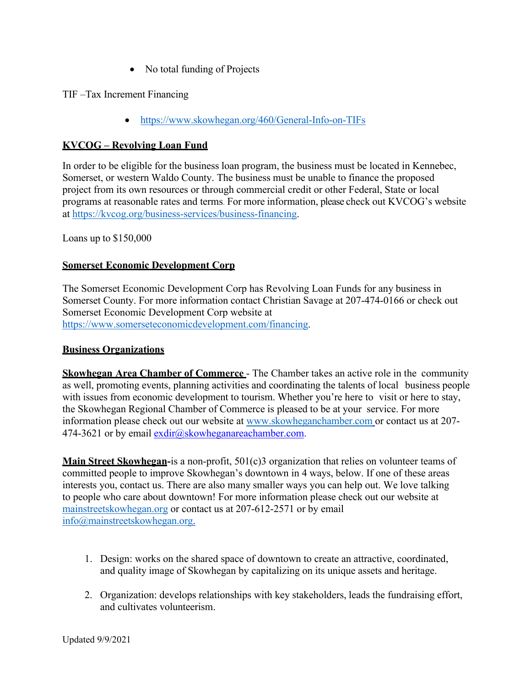• No total funding of Projects

TIF –Tax Increment Financing

• https://www.skowhegan.org/460/General-Info-on-TIFs

# **KVCOG – Revolving Loan Fund**

In order to be eligible for the business loan program, the business must be located in Kennebec, Somerset, or western Waldo County. The business must be unable to finance the proposed project from its own resources or through commercial credit or other Federal, State or local programs at reasonable rates and terms. For more information, please check out KVCOG's website at https://kvcog.org/business-services/business-financing.

Loans up to \$150,000

# **Somerset Economic Development Corp**

The Somerset Economic Development Corp has Revolving Loan Funds for any business in Somerset County. For more information contact Christian Savage at 207-474-0166 or check out Somerset Economic Development Corp website at https://www.somerseteconomicdevelopment.com/financing.

## **Business Organizations**

**Skowhegan Area Chamber of Commerce** - The Chamber takes an active role in the community as well, promoting events, planning activities and coordinating the talents of local business people with issues from economic development to tourism. Whether you're here to visit or here to stay, the Skowhegan Regional Chamber of Commerce is pleased to be at your service. For more information please check out our website at www.skowheganchamber.com or contact us at 207- 474-3621 or by email exdir@skowheganareachamber.com.

**Main Street Skowhegan-**is a non-profit, 501(c)3 organization that relies on volunteer teams of committed people to improve Skowhegan's downtown in 4 ways, below. If one of these areas interests you, contact us. There are also many smaller ways you can help out. We love talking to people who care about downtown! For more information please check out our website at mainstreetskowhegan.org or contact us at 207-612-2571 or by email info@mainstreetskowhegan.org.

- 1. Design: works on the shared space of downtown to create an attractive, coordinated, and quality image of Skowhegan by capitalizing on its unique assets and heritage.
- 2. Organization: develops relationships with key stakeholders, leads the fundraising effort, and cultivates volunteerism.